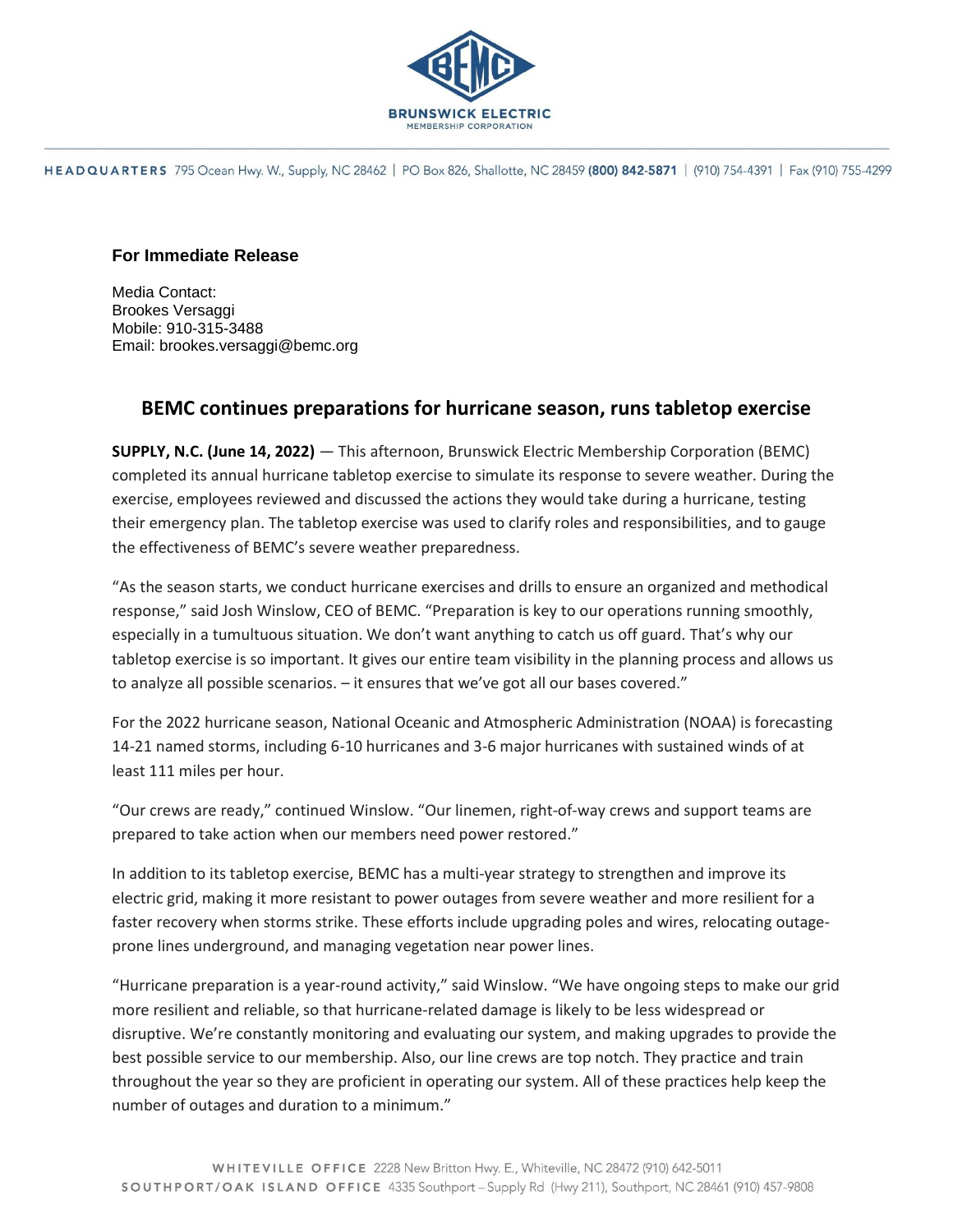

HEADQUARTERS 795 Ocean Hwy. W., Supply, NC 28462 | PO Box 826, Shallotte, NC 28459 (800) 842-5871 | (910) 754-4391 | Fax (910) 755-4299

## **For Immediate Release**

Media Contact: Brookes Versaggi Mobile: 910-315-3488 Email: brookes.versaggi@bemc.org

## **BEMC continues preparations for hurricane season, runs tabletop exercise**

**SUPPLY, N.C. (June 14, 2022)** — This afternoon, Brunswick Electric Membership Corporation (BEMC) completed its annual hurricane tabletop exercise to simulate its response to severe weather. During the exercise, employees reviewed and discussed the actions they would take during a hurricane, testing their emergency plan. The tabletop exercise was used to clarify roles and responsibilities, and to gauge the effectiveness of BEMC's severe weather preparedness.

"As the season starts, we conduct hurricane exercises and drills to ensure an organized and methodical response," said Josh Winslow, CEO of BEMC. "Preparation is key to our operations running smoothly, especially in a tumultuous situation. We don't want anything to catch us off guard. That's why our tabletop exercise is so important. It gives our entire team visibility in the planning process and allows us to analyze all possible scenarios. – it ensures that we've got all our bases covered."

For the 2022 hurricane season, National Oceanic and Atmospheric Administration (NOAA) is forecasting 14-21 named storms, including 6-10 hurricanes and 3-6 major hurricanes with sustained winds of at least 111 miles per hour.

"Our crews are ready," continued Winslow. "Our linemen, right-of-way crews and support teams are prepared to take action when our members need power restored."

In addition to its tabletop exercise, BEMC has a multi-year strategy to strengthen and improve its electric grid, making it more resistant to power outages from severe weather and more resilient for a faster recovery when storms strike. These efforts include upgrading poles and wires, relocating outageprone lines underground, and managing vegetation near power lines.

"Hurricane preparation is a year-round activity," said Winslow. "We have ongoing steps to make our grid more resilient and reliable, so that hurricane-related damage is likely to be less widespread or disruptive. We're constantly monitoring and evaluating our system, and making upgrades to provide the best possible service to our membership. Also, our line crews are top notch. They practice and train throughout the year so they are proficient in operating our system. All of these practices help keep the number of outages and duration to a minimum."